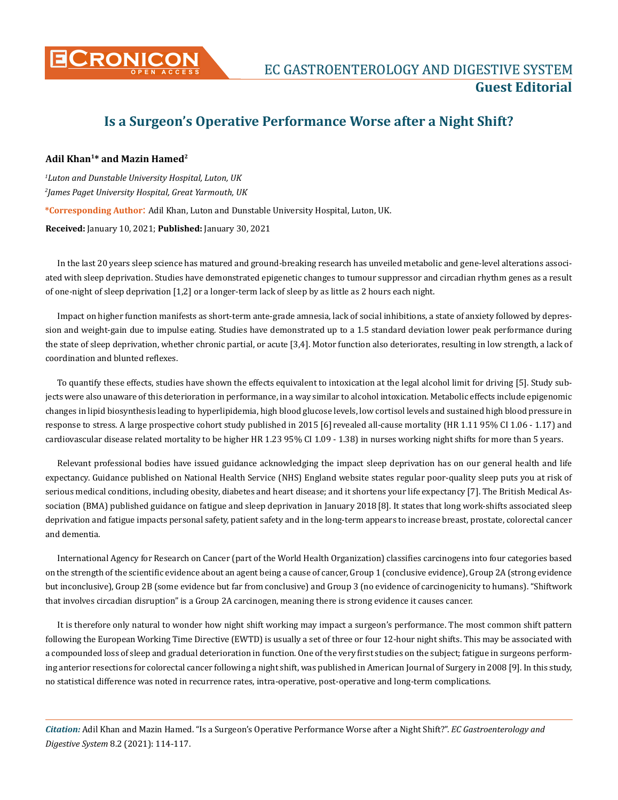

# **Is a Surgeon's Operative Performance Worse after a Night Shift?**

## **Adil Khan1\* and Mazin Hamed2**

*1 Luton and Dunstable University Hospital, Luton, UK 2 James Paget University Hospital, Great Yarmouth, UK* **\*Corresponding Author**: Adil Khan, Luton and Dunstable University Hospital, Luton, UK. **Received:** January 10, 2021; **Published:** January 30, 2021

In the last 20 years sleep science has matured and ground-breaking research has unveiled metabolic and gene-level alterations associated with sleep deprivation. Studies have demonstrated epigenetic changes to tumour suppressor and circadian rhythm genes as a result of one-night of sleep deprivation [1,2] or a longer-term lack of sleep by as little as 2 hours each night.

Impact on higher function manifests as short-term ante-grade amnesia, lack of social inhibitions, a state of anxiety followed by depression and weight-gain due to impulse eating. Studies have demonstrated up to a 1.5 standard deviation lower peak performance during the state of sleep deprivation, whether chronic partial, or acute [3,4]. Motor function also deteriorates, resulting in low strength, a lack of coordination and blunted reflexes.

To quantify these effects, studies have shown the effects equivalent to intoxication at the legal alcohol limit for driving [5]. Study subjects were also unaware of this deterioration in performance, in a way similar to alcohol intoxication. Metabolic effects include epigenomic changes in lipid biosynthesis leading to hyperlipidemia, high blood glucose levels, low cortisol levels and sustained high blood pressure in response to stress. A large prospective cohort study published in 2015 [6] revealed all-cause mortality (HR 1.11 95% CI 1.06 - 1.17) and cardiovascular disease related mortality to be higher HR 1.23 95% CI 1.09 - 1.38) in nurses working night shifts for more than 5 years.

Relevant professional bodies have issued guidance acknowledging the impact sleep deprivation has on our general health and life expectancy. Guidance published on National Health Service (NHS) England website states regular poor-quality sleep puts you at risk of serious medical conditions, including obesity, diabetes and heart disease; and it shortens your life expectancy [7]. The British Medical Association (BMA) published guidance on fatigue and sleep deprivation in January 2018[8]. It states that long work-shifts associated sleep deprivation and fatigue impacts personal safety, patient safety and in the long-term appears to increase breast, prostate, colorectal cancer and dementia.

International Agency for Research on Cancer (part of the World Health Organization) classifies carcinogens into four categories based on the strength of the scientific evidence about an agent being a cause of cancer, Group 1 (conclusive evidence), Group 2A (strong evidence but inconclusive), Group 2B (some evidence but far from conclusive) and Group 3 (no evidence of carcinogenicity to humans). "Shiftwork that involves circadian disruption" is a Group 2A carcinogen, meaning there is strong evidence it causes cancer.

It is therefore only natural to wonder how night shift working may impact a surgeon's performance. The most common shift pattern following the European Working Time Directive (EWTD) is usually a set of three or four 12-hour night shifts. This may be associated with a compounded loss of sleep and gradual deterioration in function. One of the very first studies on the subject; fatigue in surgeons performing anterior resections for colorectal cancer following a night shift, was published in American Journal of Surgery in 2008 [9]. In this study, no statistical difference was noted in recurrence rates, intra-operative, post-operative and long-term complications.

*Citation:* Adil Khan and Mazin Hamed. "Is a Surgeon's Operative Performance Worse after a Night Shift?". *EC Gastroenterology and Digestive System* 8.2 (2021): 114-117.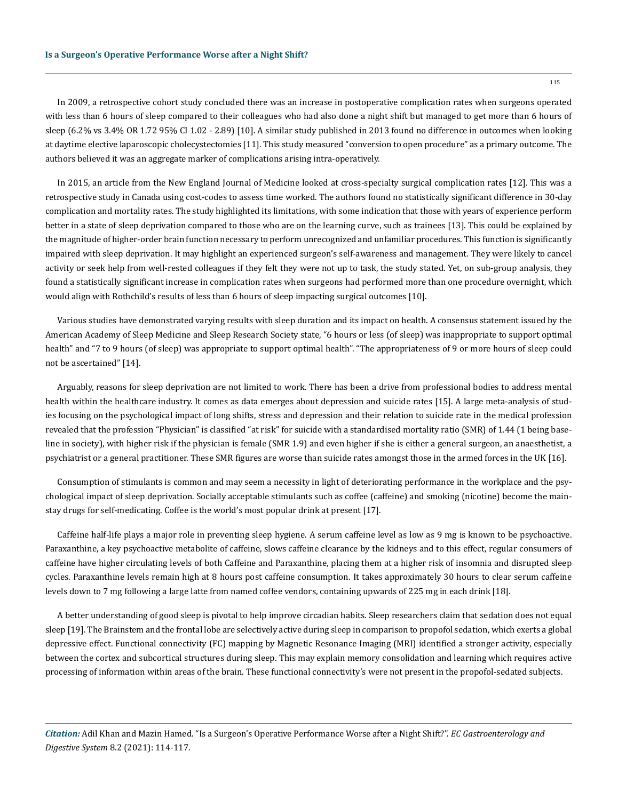115

In 2009, a retrospective cohort study concluded there was an increase in postoperative complication rates when surgeons operated with less than 6 hours of sleep compared to their colleagues who had also done a night shift but managed to get more than 6 hours of sleep (6.2% vs 3.4% OR 1.72 95% CI 1.02 - 2.89) [10]. A similar study published in 2013 found no difference in outcomes when looking at daytime elective laparoscopic cholecystectomies [11]. This study measured "conversion to open procedure" as a primary outcome. The authors believed it was an aggregate marker of complications arising intra-operatively.

In 2015, an article from the New England Journal of Medicine looked at cross-specialty surgical complication rates [12]. This was a retrospective study in Canada using cost-codes to assess time worked. The authors found no statistically significant difference in 30-day complication and mortality rates. The study highlighted its limitations, with some indication that those with years of experience perform better in a state of sleep deprivation compared to those who are on the learning curve, such as trainees [13]. This could be explained by the magnitude of higher-order brain function necessary to perform unrecognized and unfamiliar procedures. This function is significantly impaired with sleep deprivation. It may highlight an experienced surgeon's self-awareness and management. They were likely to cancel activity or seek help from well-rested colleagues if they felt they were not up to task, the study stated. Yet, on sub-group analysis, they found a statistically significant increase in complication rates when surgeons had performed more than one procedure overnight, which would align with Rothchild's results of less than 6 hours of sleep impacting surgical outcomes [10].

Various studies have demonstrated varying results with sleep duration and its impact on health. A consensus statement issued by the American Academy of Sleep Medicine and Sleep Research Society state, "6 hours or less (of sleep) was inappropriate to support optimal health" and "7 to 9 hours (of sleep) was appropriate to support optimal health". "The appropriateness of 9 or more hours of sleep could not be ascertained" [14].

Arguably, reasons for sleep deprivation are not limited to work. There has been a drive from professional bodies to address mental health within the healthcare industry. It comes as data emerges about depression and suicide rates [15]. A large meta-analysis of studies focusing on the psychological impact of long shifts, stress and depression and their relation to suicide rate in the medical profession revealed that the profession "Physician" is classified "at risk" for suicide with a standardised mortality ratio (SMR) of 1.44 (1 being baseline in society), with higher risk if the physician is female (SMR 1.9) and even higher if she is either a general surgeon, an anaesthetist, a psychiatrist or a general practitioner. These SMR figures are worse than suicide rates amongst those in the armed forces in the UK [16].

Consumption of stimulants is common and may seem a necessity in light of deteriorating performance in the workplace and the psychological impact of sleep deprivation. Socially acceptable stimulants such as coffee (caffeine) and smoking (nicotine) become the mainstay drugs for self-medicating. Coffee is the world's most popular drink at present [17].

Caffeine half-life plays a major role in preventing sleep hygiene. A serum caffeine level as low as 9 mg is known to be psychoactive. Paraxanthine, a key psychoactive metabolite of caffeine, slows caffeine clearance by the kidneys and to this effect, regular consumers of caffeine have higher circulating levels of both Caffeine and Paraxanthine, placing them at a higher risk of insomnia and disrupted sleep cycles. Paraxanthine levels remain high at 8 hours post caffeine consumption. It takes approximately 30 hours to clear serum caffeine levels down to 7 mg following a large latte from named coffee vendors, containing upwards of 225 mg in each drink [18].

A better understanding of good sleep is pivotal to help improve circadian habits. Sleep researchers claim that sedation does not equal sleep [19]. The Brainstem and the frontal lobe are selectively active during sleep in comparison to propofol sedation, which exerts a global depressive effect. Functional connectivity (FC) mapping by Magnetic Resonance Imaging (MRI) identified a stronger activity, especially between the cortex and subcortical structures during sleep. This may explain memory consolidation and learning which requires active processing of information within areas of the brain. These functional connectivity's were not present in the propofol-sedated subjects.

*Citation:* Adil Khan and Mazin Hamed. "Is a Surgeon's Operative Performance Worse after a Night Shift?". *EC Gastroenterology and Digestive System* 8.2 (2021): 114-117.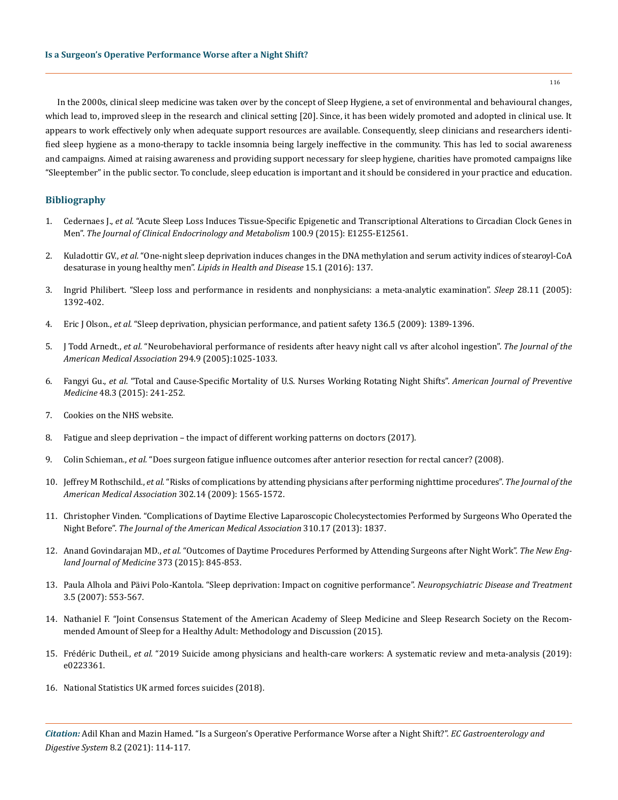In the 2000s, clinical sleep medicine was taken over by the concept of Sleep Hygiene, a set of environmental and behavioural changes, which lead to, improved sleep in the research and clinical setting [20]. Since, it has been widely promoted and adopted in clinical use. It appears to work effectively only when adequate support resources are available. Consequently, sleep clinicians and researchers identified sleep hygiene as a mono-therapy to tackle insomnia being largely ineffective in the community. This has led to social awareness and campaigns. Aimed at raising awareness and providing support necessary for sleep hygiene, charities have promoted campaigns like "Sleeptember" in the public sector. To conclude, sleep education is important and it should be considered in your practice and education.

# **Bibliography**

- 1. Cedernaes J., *et al.* ["Acute Sleep Loss Induces Tissue-Specific Epigenetic and Transcriptional Alterations to Circadian Clock Genes in](https://academic.oup.com/jcem/article/100/9/E1255/2836011)  Men". *[The Journal of Clinical Endocrinology and Metabolism](https://academic.oup.com/jcem/article/100/9/E1255/2836011)* 100.9 (2015): E1255-E12561.
- 2. Kuladottir GV., *et al.* ["One-night sleep deprivation induces changes in the DNA methylation and serum activity indices of stearoyl-CoA](https://www.ncbi.nlm.nih.gov/pmc/articles/PMC5000434/)  [desaturase in young healthy men".](https://www.ncbi.nlm.nih.gov/pmc/articles/PMC5000434/) *Lipids in Health and Disease* 15.1 (2016): 137.
- 3. [Ingrid Philibert. "Sleep loss and performance in residents and nonphysicians: a meta-analytic examination".](https://pubmed.ncbi.nlm.nih.gov/16335329/) *Sleep* 28.11 (2005): [1392-402.](https://pubmed.ncbi.nlm.nih.gov/16335329/)
- 4. Eric J Olson., *et al.* ["Sleep deprivation, physician performance, and patient safety 136.5 \(2009\): 1389-1396.](https://pubmed.ncbi.nlm.nih.gov/19892678/)
- 5. J Todd Arnedt., *et al.* ["Neurobehavioral performance of residents after heavy night call vs after alcohol ingestion".](https://pubmed.ncbi.nlm.nih.gov/16145022/) *The Journal of the [American Medical Association](https://pubmed.ncbi.nlm.nih.gov/16145022/)* 294.9 (2005):1025-1033.
- 6. Fangyi Gu., *et al.* ["Total and Cause-Specific Mortality of U.S. Nurses Working Rotating Night Shifts".](https://www.ncbi.nlm.nih.gov/pmc/articles/PMC4339532/) *American Journal of Preventive Medicine* [48.3 \(2015\): 241-252.](https://www.ncbi.nlm.nih.gov/pmc/articles/PMC4339532/)
- 7. [Cookies on the NHS website.](https://www.nhs.uk/live-well/sleep-and-tiredness/)
- 8. [Fatigue and sleep deprivation the impact of different working patterns on doctors \(2017\).](https://www.bma.org.uk/media/1074/bma_fatigue-sleep-deprivation-briefing-jan2017.pdf)
- 9. Colin Schieman., *et al.* ["Does surgeon fatigue influence outcomes after anterior resection for rectal cancer? \(2008\).](https://pubmed.ncbi.nlm.nih.gov/18424289/)
- 10. Jeffrey M Rothschild., *et al.* ["Risks of complications by attending physicians after performing nighttime procedures".](https://pubmed.ncbi.nlm.nih.gov/19826026/) *The Journal of the [American Medical Association](https://pubmed.ncbi.nlm.nih.gov/19826026/)* 302.14 (2009): 1565-1572.
- 11. [Christopher Vinden. "Complications of Daytime Elective Laparoscopic Cholecystectomies Performed by Surgeons Who Operated the](https://jamanetwork.com/journals/jama/fullarticle/1764050)  Night Before". *[The Journal of the American Medical Association](https://jamanetwork.com/journals/jama/fullarticle/1764050)* 310.17 (2013): 1837.
- 12. Anand Govindarajan MD., *et al.* ["Outcomes of Daytime Procedures Performed by Attending Surgeons after Night Work".](https://www.nejm.org/doi/full/10.1056/NEJMc1512756) *The New Eng[land Journal of Medicine](https://www.nejm.org/doi/full/10.1056/NEJMc1512756)* 373 (2015): 845-853.
- 13. [Paula Alhola and Päivi Polo-Kantola. "Sleep deprivation: Impact on cognitive performance".](https://www.ncbi.nlm.nih.gov/pmc/articles/PMC2656292/) *Neuropsychiatric Disease and Treatment*  [3.5 \(2007\): 553-567.](https://www.ncbi.nlm.nih.gov/pmc/articles/PMC2656292/)
- 14. [Nathaniel F. "Joint Consensus Statement of the American Academy of Sleep Medicine and Sleep Research Society on the Recom](https://pubmed.ncbi.nlm.nih.gov/26194576/)[mended Amount of Sleep for a Healthy Adult: Methodology and Discussion \(2015\).](https://pubmed.ncbi.nlm.nih.gov/26194576/)
- 15. Frédéric Dutheil., *et al.* ["2019 Suicide among physicians and health-care workers: A systematic review and meta-analysis \(2019\):](https://pubmed.ncbi.nlm.nih.gov/31830138/)  [e0223361.](https://pubmed.ncbi.nlm.nih.gov/31830138/)
- 16. [National Statistics UK armed forces suicides \(2018\).](https://assets.publishing.service.gov.uk/government/uploads/system/uploads/attachment_data/file/789799/20190328_UK_AF_Suicide_National_Statistic_2019_O.pdf)

*Citation:* Adil Khan and Mazin Hamed. "Is a Surgeon's Operative Performance Worse after a Night Shift?". *EC Gastroenterology and Digestive System* 8.2 (2021): 114-117.

116